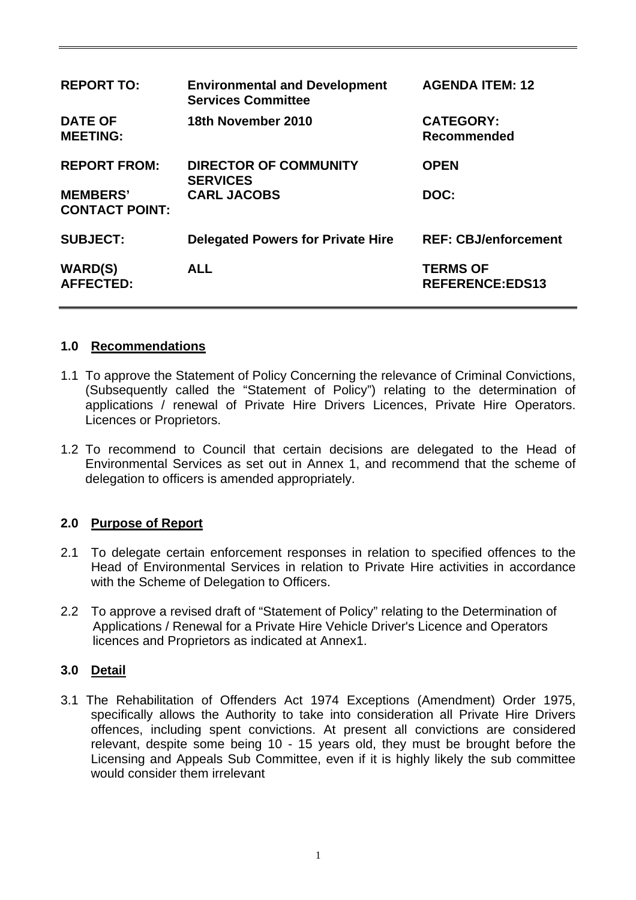| <b>REPORT TO:</b>                        | <b>Environmental and Development</b><br><b>Services Committee</b> | <b>AGENDA ITEM: 12</b>                    |
|------------------------------------------|-------------------------------------------------------------------|-------------------------------------------|
| <b>DATE OF</b><br><b>MEETING:</b>        | 18th November 2010                                                | <b>CATEGORY:</b><br>Recommended           |
| <b>REPORT FROM:</b>                      | <b>DIRECTOR OF COMMUNITY</b><br><b>SERVICES</b>                   | <b>OPEN</b>                               |
| <b>MEMBERS'</b><br><b>CONTACT POINT:</b> | <b>CARL JACOBS</b>                                                | DOC:                                      |
| <b>SUBJECT:</b>                          | <b>Delegated Powers for Private Hire</b>                          | <b>REF: CBJ/enforcement</b>               |
| <b>WARD(S)</b><br><b>AFFECTED:</b>       | <b>ALL</b>                                                        | <b>TERMS OF</b><br><b>REFERENCE:EDS13</b> |

## **1.0 Recommendations**

- 1.1 To approve the Statement of Policy Concerning the relevance of Criminal Convictions, (Subsequently called the "Statement of Policy") relating to the determination of applications / renewal of Private Hire Drivers Licences, Private Hire Operators. Licences or Proprietors.
- 1.2 To recommend to Council that certain decisions are delegated to the Head of Environmental Services as set out in Annex 1, and recommend that the scheme of delegation to officers is amended appropriately.

# **2.0 Purpose of Report**

- 2.1 To delegate certain enforcement responses in relation to specified offences to the Head of Environmental Services in relation to Private Hire activities in accordance with the Scheme of Delegation to Officers.
- 2.2 To approve a revised draft of "Statement of Policy" relating to the Determination of Applications / Renewal for a Private Hire Vehicle Driver's Licence and Operators licences and Proprietors as indicated at Annex1.

### **3.0 Detail**

3.1 The Rehabilitation of Offenders Act 1974 Exceptions (Amendment) Order 1975, specifically allows the Authority to take into consideration all Private Hire Drivers offences, including spent convictions. At present all convictions are considered relevant, despite some being 10 - 15 years old, they must be brought before the Licensing and Appeals Sub Committee, even if it is highly likely the sub committee would consider them irrelevant